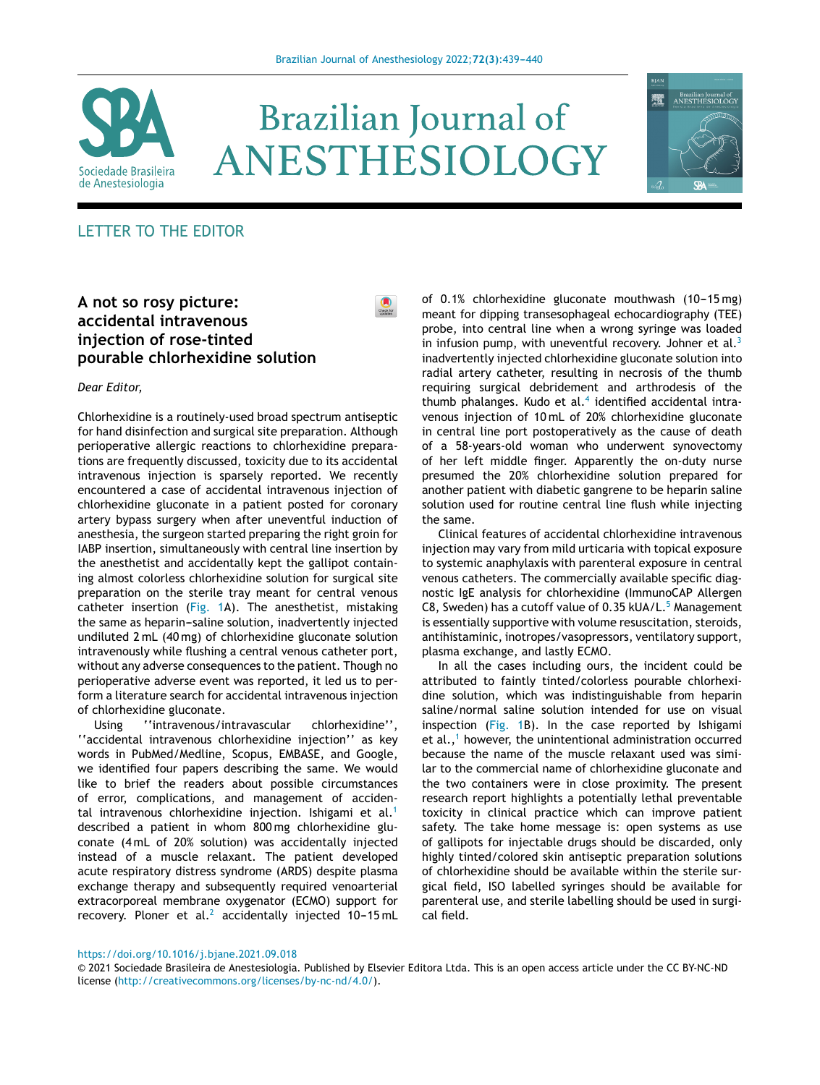

# **Brazilian Journal of** ANESTHESIOLOGY

 $\bullet$ 



## LETTER TO THE EDITOR

### **A not so rosy picture: accidental intravenous injection of rose-tinted pourable chlorhexidine solution**

*Dear Editor,*

Chlorhexidine is a routinely-used broad spectrum antiseptic for hand disinfection and surgical site preparation. Although perioperative allergic reactions to chlorhexidine preparations are frequently discussed, toxicity due to its accidental intravenous injection is sparsely reported. We recently encountered a case of accidental intravenous injection of chlorhexidine gluconate in a patient posted for coronary artery bypass surgery when after uneventful induction of anesthesia, the surgeon started preparing the right groin for IABP insertion, simultaneously with central line insertion by the anesthetist and accidentally kept the gallipot containing almost colorless chlorhexidine solution for surgical site preparation on the sterile tray meant for central venous catheter insertion ([Fig.](#page-1-0) 1A). The anesthetist, mistaking the same as heparin-saline solution, inadvertently injected undiluted 2 mL (40 mg) of chlorhexidine gluconate solution intravenously while flushing a central venous catheter port, without any adverse consequences to the patient. Though no perioperative adverse event was reported, it led us to perform a literature search for accidental intravenous injection of chlorhexidine gluconate.

Using ''intravenous/intravascular chlorhexidine'', ''accidental intravenous chlorhexidine injection'' as key words in PubMed/Medline, Scopus, EMBASE, and Google, we identified four papers describing the same. We would like to brief the readers about possible circumstances of error, complications, and management of acciden-tal intravenous chlorhexidine injection. Ishigami et al.<sup>[1](#page-1-0)</sup> described a patient in whom 800 mg chlorhexidine gluconate (4 mL of 20% solution) was accidentally injected instead of a muscle relaxant. The patient developed acute respiratory distress syndrome (ARDS) despite plasma exchange therapy and subsequently required venoarterial extracorporeal membrane oxygenator (ECMO) support for recovery. Ploner et al.<sup>[2](#page-1-0)</sup> accidentally injected  $10-15$  mL of  $0.1\%$  chlorhexidine gluconate mouthwash  $(10-15 \,\mathrm{mg})$ meant for dipping transesophageal echocardiography (TEE) probe, into central line when a wrong syringe was loaded in infusion pump, with uneventful recovery. Johner et al. $3$ inadvertently injected chlorhexidine gluconate solution into radial artery catheter, resulting in necrosis of the thumb requiring surgical debridement and arthrodesis of the thumb phalanges. Kudo et al.<sup>[4](#page-1-0)</sup> identified accidental intravenous injection of 10 mL of 20% chlorhexidine gluconate in central line port postoperatively as the cause of death of a 58-years-old woman who underwent synovectomy of her left middle finger. Apparently the on-duty nurse presumed the 20% chlorhexidine solution prepared for another patient with diabetic gangrene to be heparin saline solution used for routine central line flush while injecting the same.

Clinical features of accidental chlorhexidine intravenous injection may vary from mild urticaria with topical exposure to systemic anaphylaxis with parenteral exposure in central venous catheters. The commercially available specific diagnostic IgE analysis for chlorhexidine (ImmunoCAP Allergen C8, Sweden) has a cutoff value of  $0.35$  kUA/L.<sup>5</sup> [M](#page-1-0)anagement is essentially supportive with volume resuscitation, steroids, antihistaminic, inotropes/vasopressors, ventilatory support, plasma exchange, and lastly ECMO.

In all the cases including ours, the incident could be attributed to faintly tinted/colorless pourable chlorhexidine solution, which was indistinguishable from heparin saline/normal saline solution intended for use on visual inspection [\(Fig.](#page-1-0) 1B). In the case reported by Ishigami et al., $<sup>1</sup>$  $<sup>1</sup>$  $<sup>1</sup>$  however, the unintentional administration occurred</sup> because the name of the muscle relaxant used was similar to the commercial name of chlorhexidine gluconate and the two containers were in close proximity. The present research report highlights a potentially lethal preventable toxicity in clinical practice which can improve patient safety. The take home message is: open systems as use of gallipots for injectable drugs should be discarded, only highly tinted/colored skin antiseptic preparation solutions of chlorhexidine should be available within the sterile surgical field, ISO labelled syringes should be available for parenteral use, and sterile labelling should be used in surgical field.

<https://doi.org/10.1016/j.bjane.2021.09.018>

<sup>©</sup> 2021 Sociedade Brasileira de Anestesiologia. Published by Elsevier Editora Ltda. This is an open access article under the CC BY-NC-ND license (<http://creativecommons.org/licenses/by-nc-nd/4.0/>).